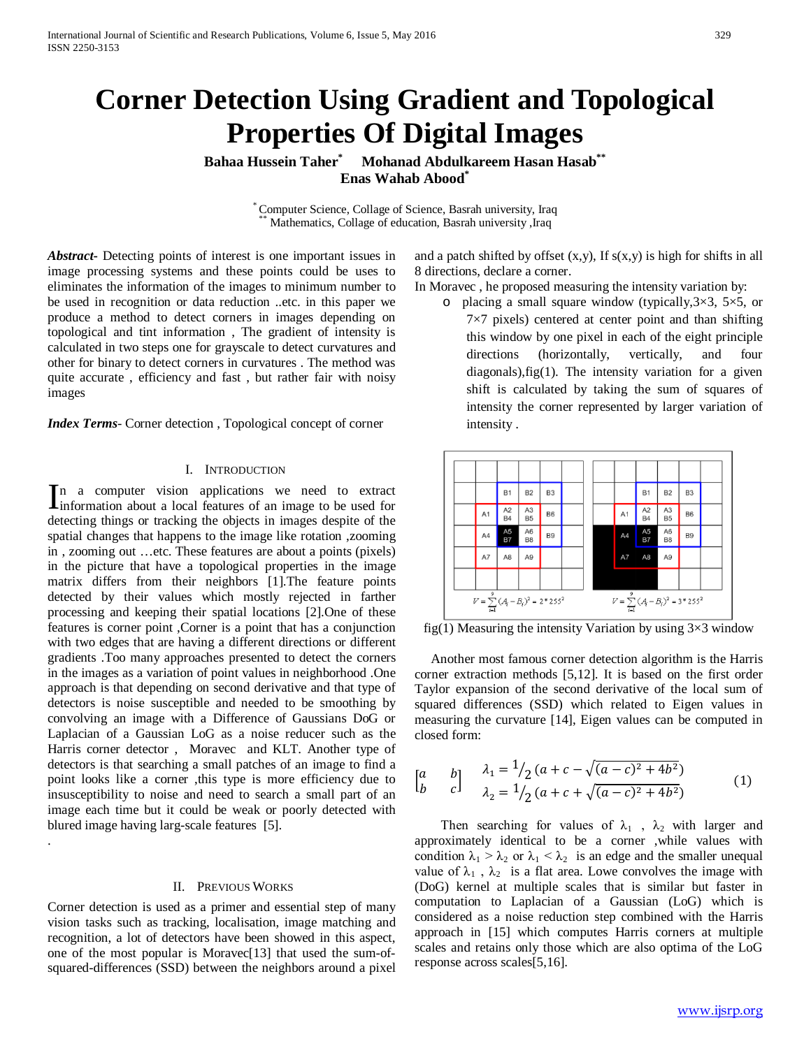# **Corner Detection Using Gradient and Topological Properties Of Digital Images**

**Bahaa Hussein Taher\* Mohanad Abdulkareem Hasan Hasab\*\* Enas Wahab Abood\***

\* Computer Science, Collage of Science, Basrah university, Iraq \*\* Mathematics, Collage of education, Basrah university ,Iraq

*Abstract***-** Detecting points of interest is one important issues in image processing systems and these points could be uses to eliminates the information of the images to minimum number to be used in recognition or data reduction ..etc. in this paper we produce a method to detect corners in images depending on topological and tint information , The gradient of intensity is calculated in two steps one for grayscale to detect curvatures and other for binary to detect corners in curvatures . The method was quite accurate , efficiency and fast , but rather fair with noisy images

*Index Terms*- Corner detection , Topological concept of corner

### I. INTRODUCTION

n a computer vision applications we need to extract In a computer vision applications we need to extract information about a local features of an image to be used for detecting things or tracking the objects in images despite of the spatial changes that happens to the image like rotation ,zooming in , zooming out …etc. These features are about a points (pixels) in the picture that have a topological properties in the image matrix differs from their neighbors [1].The feature points detected by their values which mostly rejected in farther processing and keeping their spatial locations [2].One of these features is corner point ,Corner is a point that has a conjunction with two edges that are having a different directions or different gradients .Too many approaches presented to detect the corners in the images as a variation of point values in neighborhood .One approach is that depending on second derivative and that type of detectors is noise susceptible and needed to be smoothing by convolving an image with a Difference of Gaussians DoG or Laplacian of a Gaussian LoG as a noise reducer such as the Harris corner detector , Moravec and KLT. Another type of detectors is that searching a small patches of an image to find a point looks like a corner ,this type is more efficiency due to insusceptibility to noise and need to search a small part of an image each time but it could be weak or poorly detected with blured image having larg-scale features [5].

## II. PREVIOUS WORKS

Corner detection is used as a primer and essential step of many vision tasks such as tracking, localisation, image matching and recognition, a lot of detectors have been showed in this aspect, one of the most popular is Moravec[13] that used the sum-ofsquared-differences (SSD) between the neighbors around a pixel

.

and a patch shifted by offset  $(x,y)$ , If  $s(x,y)$  is high for shifts in all 8 directions, declare a corner.

- In Moravec , he proposed measuring the intensity variation by:
	- o placing a small square window (typically,  $3\times3$ ,  $5\times5$ , or  $7\times7$  pixels) centered at center point and than shifting this window by one pixel in each of the eight principle directions (horizontally, vertically, and four diagonals),fig(1). The intensity variation for a given shift is calculated by taking the sum of squares of intensity the corner represented by larger variation of intensity .



fig(1) Measuring the intensity Variation by using  $3\times3$  window

 Another most famous corner detection algorithm is the Harris corner extraction methods [5,12]. It is based on the first order Taylor expansion of the second derivative of the local sum of squared differences (SSD) which related to Eigen values in measuring the curvature [14], Eigen values can be computed in closed form:

$$
\begin{bmatrix} a & b \\ b & c \end{bmatrix} \quad \begin{array}{l} \lambda_1 = \frac{1}{2} (a + c - \sqrt{(a - c)^2 + 4b^2}) \\ \lambda_2 = \frac{1}{2} (a + c + \sqrt{(a - c)^2 + 4b^2}) \end{array} \tag{1}
$$

Then searching for values of  $\lambda_1$ ,  $\lambda_2$  with larger and approximately identical to be a corner ,while values with condition  $\lambda_1 > \lambda_2$  or  $\lambda_1 < \lambda_2$  is an edge and the smaller unequal value of  $\lambda_1$ ,  $\lambda_2$  is a flat area. Lowe convolves the image with (DoG) kernel at multiple scales that is similar but faster in computation to Laplacian of a Gaussian (LoG) which is considered as a noise reduction step combined with the Harris approach in [15] which computes Harris corners at multiple scales and retains only those which are also optima of the LoG response across scales[5,16].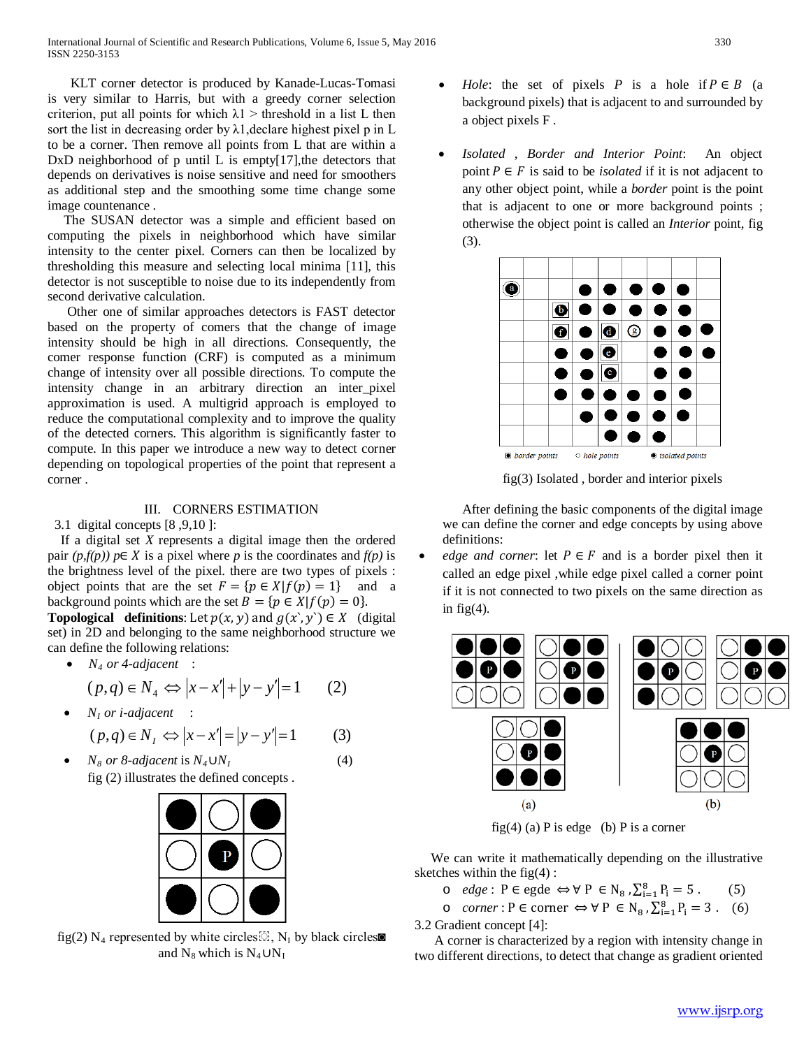KLT corner detector is produced by Kanade-Lucas-Tomasi is very similar to Harris, but with a greedy corner selection criterion, put all points for which  $\lambda$ 1 > threshold in a list L then sort the list in decreasing order by  $\lambda$ 1, declare highest pixel p in L to be a corner. Then remove all points from L that are within a  $DxD$  neighborhood of p until L is empty[17], the detectors that depends on derivatives is noise sensitive and need for smoothers as additional step and the smoothing some time change some image countenance .

 The SUSAN detector was a simple and efficient based on computing the pixels in neighborhood which have similar intensity to the center pixel. Corners can then be localized by thresholding this measure and selecting local minima [11], this detector is not susceptible to noise due to its independently from second derivative calculation.

 Other one of similar approaches detectors is FAST detector based on the property of comers that the change of image intensity should be high in all directions. Consequently, the comer response function (CRF) is computed as a minimum change of intensity over all possible directions. To compute the intensity change in an arbitrary direction an inter pixel approximation is used. A multigrid approach is employed to reduce the computational complexity and to improve the quality of the detected corners. This algorithm is significantly faster to compute. In this paper we introduce a new way to detect corner depending on topological properties of the point that represent a corner .

## III. CORNERS ESTIMATION

3.1 digital concepts [8 ,9,10 ]:

 If a digital set *X* represents a digital image then the ordered pair  $(p, f(p))$   $p \in X$  is a pixel where *p* is the coordinates and  $f(p)$  is the brightness level of the pixel. there are two types of pixels : object points that are the set  $F = \{p \in X | f(p) = 1\}$  and a background points which are the set  $B = \{p \in X | f(p) = 0\}.$ 

**Topological definitions**: Let  $p(x, y)$  and  $g(x', y') \in X$  (digital set) in 2D and belonging to the same neighborhood structure we can define the following relations:

•  $N_4$  *or 4-adjacent* :

$$
(p,q) \in N_4 \Leftrightarrow |x - x'| + |y - y'| = 1 \qquad (2)
$$

•  $N_I$  *or i-adjacent* :

$$
(p,q) \in N_I \Leftrightarrow |x - x'| = |y - y'| = 1 \tag{3}
$$

*<sup>I</sup>R* (4)

• *N<sub>8</sub> or 8-adjacent* is  $N_4 \cup N$ fig (2) illustrates the defined concepts .



fig(2)  $N_4$  represented by white circles  $\mathbb{S}$ ,  $N_I$  by black circles and  $N_8$  which is  $N_4$   $\cup N_I$ 

- *Hole*: the set of pixels *P* is a hole if  $P \in B$  (a background pixels) that is adjacent to and surrounded by a object pixels F .
- *Isolated* , *Border and Interior Point*: An object point  $P \in F$  is said to be *isolated* if it is not adjacent to any other object point, while a *border* point is the point that is adjacent to one or more background points ; otherwise the object point is called an *Interior* point, fig (3).



fig(3) Isolated , border and interior pixels

 After defining the basic components of the digital image we can define the corner and edge concepts by using above definitions:

*edge and corner*: let  $P \in F$  and is a border pixel then it called an edge pixel ,while edge pixel called a corner point if it is not connected to two pixels on the same direction as in fig $(4)$ .



fig(4) (a) P is edge (b) P is a corner

 We can write it mathematically depending on the illustrative sketches within the  $fig(4)$ :

- $\circ$  *edge* : P ∈ egde ⇔ ∀ P ∈ N<sub>8</sub>,  $\sum_{i=1}^{8} P_i = 5$ . (5)
- o *corner* : P ∈ corner  $\Leftrightarrow$   $\forall$  P ∈ N<sub>8</sub>,  $\sum_{i=1}^{8} P_i = 3$ . (6)

3.2 Gradient concept [4]:

 A corner is characterized by a region with intensity change in two different directions, to detect that change as gradient oriented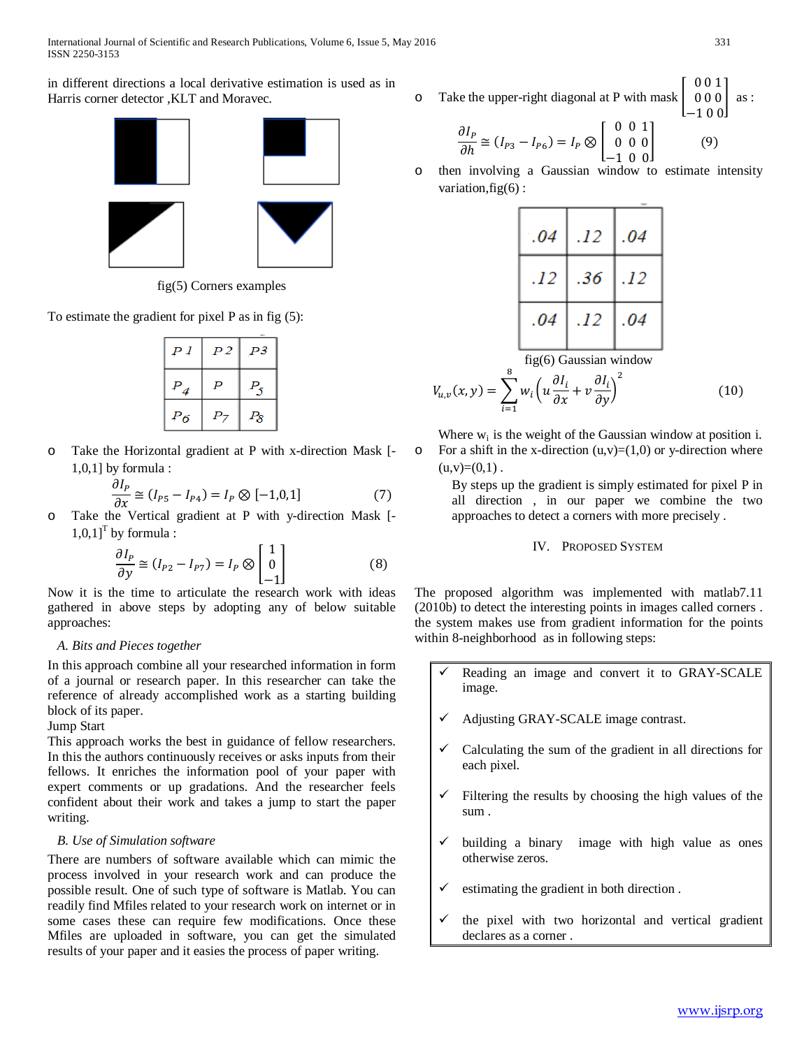in different directions a local derivative estimation is used as in Harris corner detector ,KLT and Moravec.



fig(5) Corners examples

To estimate the gradient for pixel P as in fig (5):

| Ρl                 | P <sub>2</sub> | P3                |
|--------------------|----------------|-------------------|
| $P_{\overline{4}}$ | P              | $P_5$             |
| $P_{6}$            | Ρ7             | $P_{\mathcal{S}}$ |

o Take the Horizontal gradient at P with x-direction Mask [- 1,0,1] by formula :

$$
\frac{\partial I_P}{\partial x} \cong (I_{P5} - I_{P4}) = I_P \otimes [-1, 0, 1]
$$
 (7)

o Take the Vertical gradient at P with y-direction Mask [-  $1,0,1$ <sup>T</sup> by formula :

$$
\frac{\partial I_P}{\partial y} \cong (I_{P2} - I_{P7}) = I_P \otimes \begin{bmatrix} 1 \\ 0 \\ -1 \end{bmatrix}
$$
(8)

 $[-1]$ <br>Now it is the time to articulate the research work with ideas gathered in above steps by adopting any of below suitable approaches:

## *A. Bits and Pieces together*

In this approach combine all your researched information in form of a journal or research paper. In this researcher can take the reference of already accomplished work as a starting building block of its paper.

## Jump Start

This approach works the best in guidance of fellow researchers. In this the authors continuously receives or asks inputs from their fellows. It enriches the information pool of your paper with expert comments or up gradations. And the researcher feels confident about their work and takes a jump to start the paper writing.

# *B. Use of Simulation software*

There are numbers of software available which can mimic the process involved in your research work and can produce the possible result. One of such type of software is Matlab. You can readily find Mfiles related to your research work on internet or in some cases these can require few modifications. Once these Mfiles are uploaded in software, you can get the simulated results of your paper and it easies the process of paper writing.

 $\circ$  Take the upper-right diagonal at P with mask 0 0 1 0 0 0 −1 0 0 as :

$$
\frac{\partial I_P}{\partial h} \cong (I_{P3} - I_{P6}) = I_P \otimes \begin{bmatrix} 0 & 0 & 1 \\ 0 & 0 & 0 \\ -1 & 0 & 0 \end{bmatrix}
$$
(9)

 $L=1 \t0 \t0J$ <br>o then involving a Gaussian window to estimate intensity variation, $fig(6)$ :

| .04                                                                                                                                      | .12 | .04 |
|------------------------------------------------------------------------------------------------------------------------------------------|-----|-----|
| .12                                                                                                                                      | .36 | .12 |
| .04                                                                                                                                      | .12 | .04 |
| $\mathcal{C}$ . $(\mathcal{C} \setminus \mathcal{C} \setminus \ldots \setminus \mathcal{C} \setminus \mathcal{C} \setminus \mathcal{C})$ |     |     |

fig(6) Gaussian window  
\n
$$
\sum_{i=1}^{8} (dI - dI)^2
$$

$$
V_{u,v}(x,y) = \sum_{i=1} w_i \left( u \frac{\partial l_i}{\partial x} + v \frac{\partial l_i}{\partial y} \right)^2 \tag{10}
$$

Where  $w_i$  is the weight of the Gaussian window at position i.  $\circ$  For a shift in the x-direction  $(u, v) = (1,0)$  or y-direction where  $(u,v)=(0,1)$ .

> By steps up the gradient is simply estimated for pixel P in all direction , in our paper we combine the two approaches to detect a corners with more precisely .

## IV. PROPOSED SYSTEM

The proposed algorithm was implemented with matlab7.11 (2010b) to detect the interesting points in images called corners . the system makes use from gradient information for the points within 8-neighborhood as in following steps:

- Reading an image and convert it to GRAY-SCALE image.
- Adjusting GRAY-SCALE image contrast.
- Calculating the sum of the gradient in all directions for each pixel.
- Filtering the results by choosing the high values of the sum .
- building a binary image with high value as ones otherwise zeros.
- estimating the gradient in both direction .
- the pixel with two horizontal and vertical gradient declares as a corner .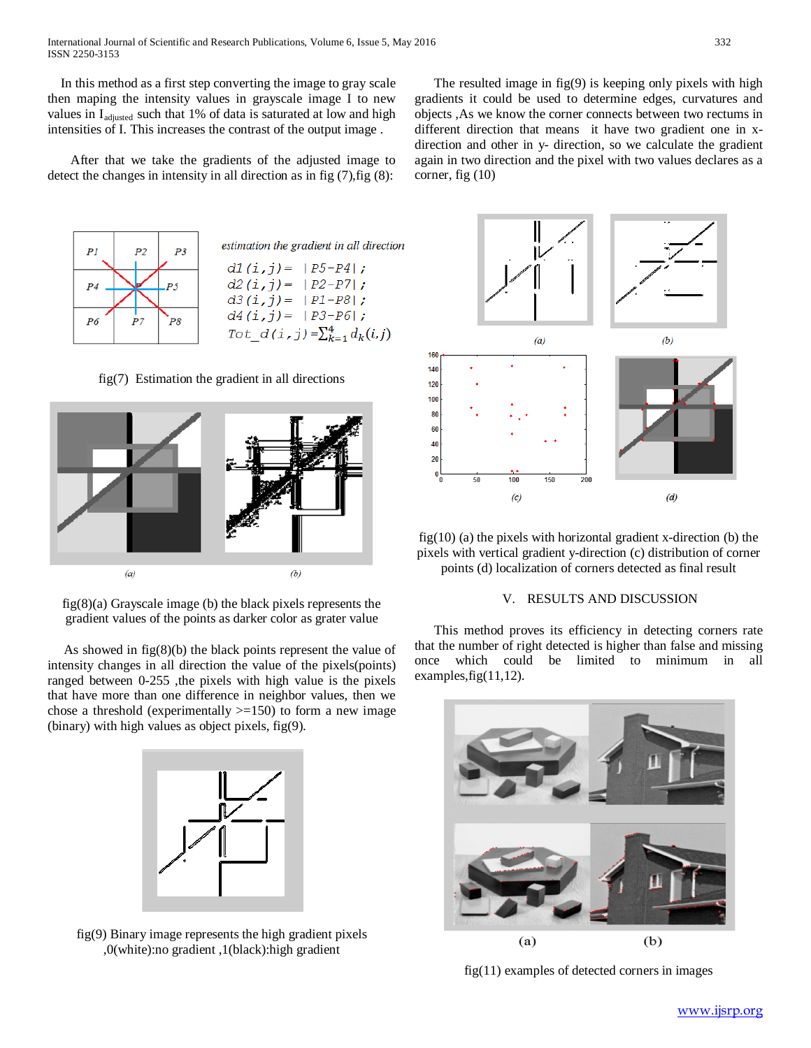In this method as a first step converting the image to gray scale then maping the intensity values in grayscale image I to new values in I<sub>adjusted</sub> such that 1% of data is saturated at low and high intensities of I. This increases the contrast of the output image .

 After that we take the gradients of the adjusted image to detect the changes in intensity in all direction as in fig  $(7)$ , fig  $(8)$ :



estimation the gradient in all direction  $d1(i,j) = |P5-P4|;$  $d2(i,j) = |P2-P7|;$  $d3(i,j) = |P1-P8|;$  $d4(i,j) = |P3-P6|$ ; Tot  $d(i, j) = \sum_{k=1}^{4} d_k(i, j)$ 

fig(7) Estimation the gradient in all directions



fig(8)(a) Grayscale image (b) the black pixels represents the gradient values of the points as darker color as grater value

 As showed in fig(8)(b) the black points represent the value of intensity changes in all direction the value of the pixels(points) ranged between 0-255 ,the pixels with high value is the pixels that have more than one difference in neighbor values, then we chose a threshold (experimentally  $>=150$ ) to form a new image (binary) with high values as object pixels, fig(9).



fig(9) Binary image represents the high gradient pixels ,0(white):no gradient ,1(black):high gradient

 The resulted image in fig(9) is keeping only pixels with high gradients it could be used to determine edges, curvatures and objects ,As we know the corner connects between two rectums in different direction that means it have two gradient one in xdirection and other in y- direction, so we calculate the gradient again in two direction and the pixel with two values declares as a corner, fig (10)



 $fig(10)$  (a) the pixels with horizontal gradient x-direction (b) the pixels with vertical gradient y-direction (c) distribution of corner points (d) localization of corners detected as final result

## V. RESULTS AND DISCUSSION

 This method proves its efficiency in detecting corners rate that the number of right detected is higher than false and missing once which could be limited to minimum in all examples,fig(11,12).



fig(11) examples of detected corners in images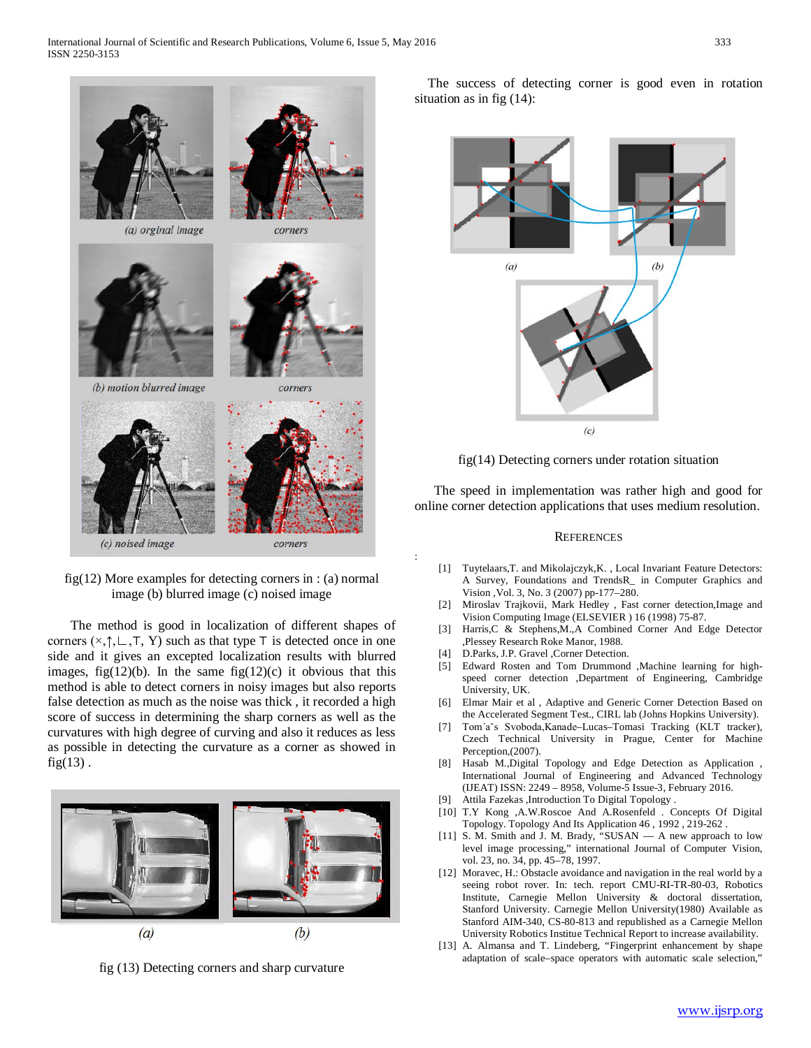

fig(12) More examples for detecting corners in : (a) normal image (b) blurred image (c) noised image

 The method is good in localization of different shapes of corners ( $\times$ , $\uparrow$ , $\sqsubset$ , $\top$ , Y) such as that type  $\top$  is detected once in one side and it gives an excepted localization results with blurred images, fig $(12)(b)$ . In the same fig $(12)(c)$  it obvious that this method is able to detect corners in noisy images but also reports false detection as much as the noise was thick , it recorded a high score of success in determining the sharp corners as well as the curvatures with high degree of curving and also it reduces as less as possible in detecting the curvature as a corner as showed in  $fig(13)$ .



fig (13) Detecting corners and sharp curvature

 The success of detecting corner is good even in rotation situation as in fig (14):





 The speed in implementation was rather high and good for online corner detection applications that uses medium resolution.

#### **REFERENCES**

- [1] Tuytelaars,T. and Mikolajczyk,K. , Local Invariant Feature Detectors: A Survey, Foundations and TrendsR\_ in Computer Graphics and Vision ,Vol. 3, No. 3 (2007) pp-177–280.
- [2] Miroslav Trajkovii, Mark Hedley , Fast corner detection,Image and Vision Computing Image (ELSEVIER ) 16 (1998) 75-87.
- [3] Harris,C & Stephens,M.,A Combined Corner And Edge Detector ,Plessey Research Roke Manor, 1988.
- [4] D.Parks, J.P. Gravel ,Corner Detection.

:

- [5] Edward Rosten and Tom Drummond ,Machine learning for highspeed corner detection ,Department of Engineering, Cambridge University, UK.
- [6] Elmar Mair et al , Adaptive and Generic Corner Detection Based on the Accelerated Segment Test., CIRL lab (Johns Hopkins University).
- [7] Tom´aˇs Svoboda,Kanade–Lucas–Tomasi Tracking (KLT tracker), Czech Technical University in Prague, Center for Machine Perception,(2007).
- [8] Hasab M.,Digital Topology and Edge Detection as Application , International Journal of Engineering and Advanced Technology (IJEAT) ISSN: 2249 – 8958, Volume-5 Issue-3, February 2016.
- [9] Attila Fazekas ,Introduction To Digital Topology .
- [10] T.Y Kong ,A.W.Roscoe And A.Rosenfeld . Concepts Of Digital Topology. Topology And Its Application 46 , 1992 , 219-262 .
- [11] S. M. Smith and J. M. Brady, "SUSAN A new approach to low level image processing," international Journal of Computer Vision, vol. 23, no. 34, pp. 45–78, 1997.
- [12] Moravec, H.: Obstacle avoidance and navigation in the real world by a seeing robot rover. In: tech. report CMU-RI-TR-80-03, Robotics Institute, Carnegie Mellon University & doctoral dissertation, Stanford University. Carnegie Mellon University(1980) Available as Stanford AIM-340, CS-80-813 and republished as a Carnegie Mellon University Robotics Institue Technical Report to increase availability.
- [13] A. Almansa and T. Lindeberg, "Fingerprint enhancement by shape adaptation of scale–space operators with automatic scale selection,"